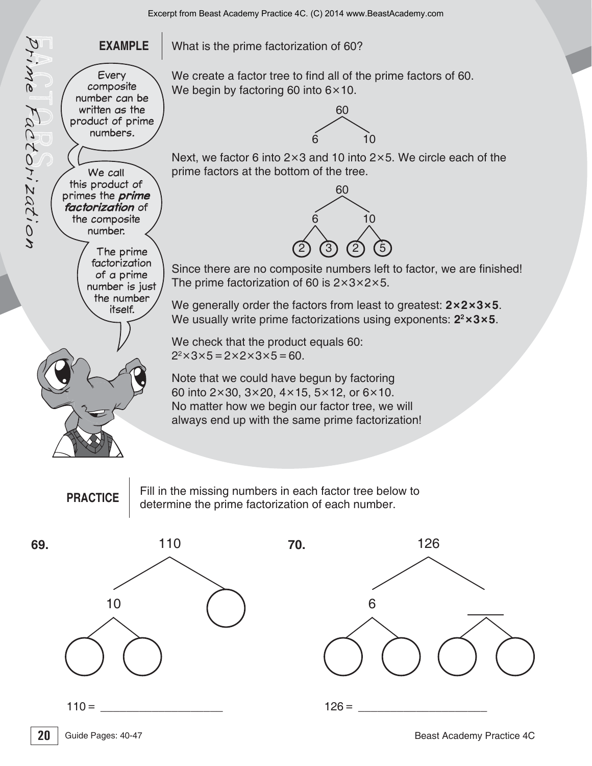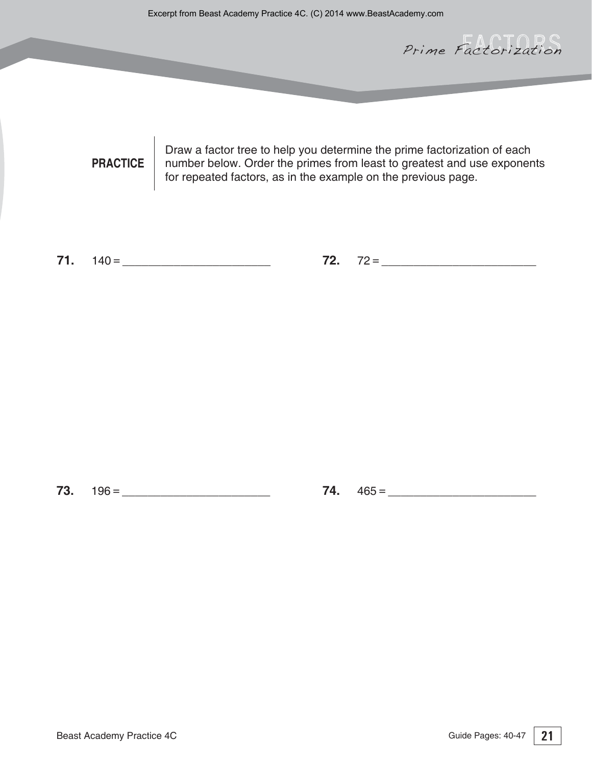Prime Factorization

**PRACTICE** Draw a factor tree to help you determine the prime factorization of each number below. Order the primes from least to greatest and use exponents for repeated factors, as in the example on the previous page.

**71.**  $140 = 72. 72 =$ 

**73.** AAAAAAAAAAAAAAAAAAAAAAA **74.** AAAAAAAAAAAAAAAAAAAAAAA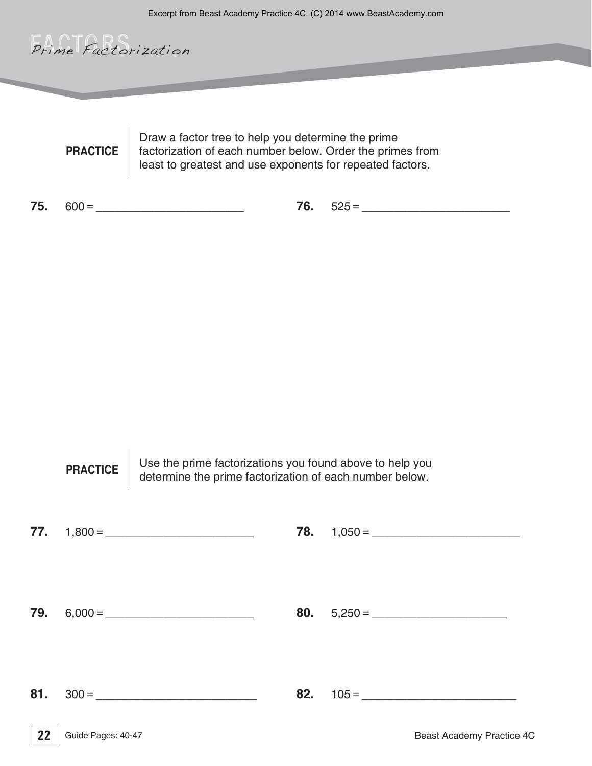

**PRACTICE** Draw a factor tree to help you determine the prime factorization of each number below. Order the primes from least to greatest and use exponents for repeated factors.

**75.** AAAAAAAAAAAAAAAAAAAAAAA

**76.** AAAAAAAAAAAAAAAAAAAAAAA

**22** Guide Pages: 40-47 **Contraction Contraction Contraction Contraction Contraction Contraction Contraction Contraction Contraction Contraction Contraction Contraction Contraction Contraction Contraction Contraction Contr** Guide Pages: 40-47 **80.**  $5,250 =$ **PRACTICE** Use the prime factorizations you found above to help you determine the prime factorization of each number below. **77.** AAAAAAAAAAAAAAAAAAAAAAA **78.** AAAAAAAAAAAAAAAAAAAAAAA **79.** AAAAAAAAAAAAAAAAAAAAAAA **81.** AAAAAAAAAAAAAAAAAAAAAAAAA **82.** AAAAAAAAAAAAAAAAAAAAAAAA